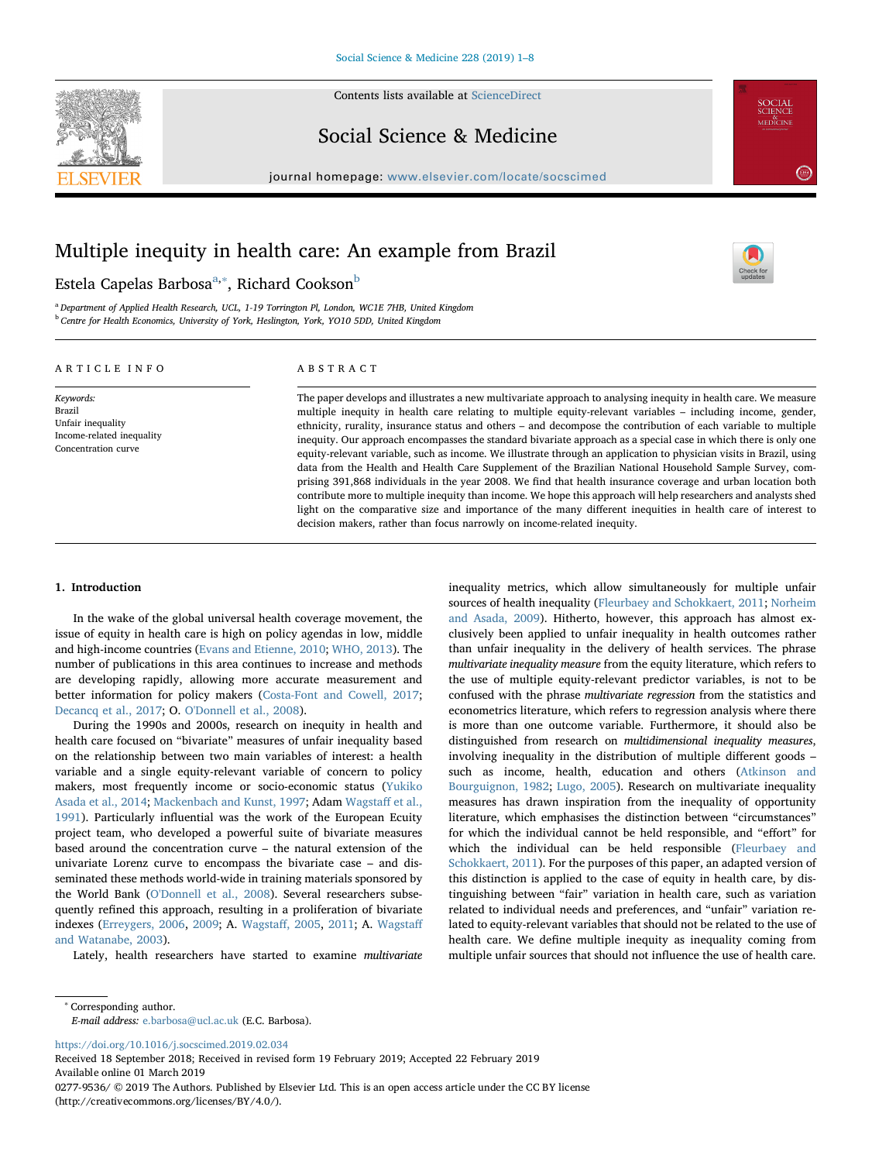

Contents lists available at [ScienceDirect](http://www.sciencedirect.com/science/journal/02779536)

Social Science & Medicine

journal homepage: [www.elsevier.com/locate/socscimed](https://www.elsevier.com/locate/socscimed)



 $\sum_{\text{the}}$ 

# Multiple inequity in health care: An example from Brazil

## Estel[a](#page-0-0) Capelas Barbosa<sup>a,[∗](#page-0-1)</sup>, Richard Cookson<sup>[b](#page-0-2)</sup>

<span id="page-0-2"></span><span id="page-0-0"></span><sup>a</sup> Department of Applied Health Research, UCL, 1-19 Torrington Pl, London, WC1E 7HB, United Kingdom <sup>b</sup> Centre for Health Economics, University of York, Heslington, York, YO10 5DD, United Kingdom

#### ARTICLE INFO

Keywords: Brazil Unfair inequality Income-related inequality Concentration curve

ABSTRACT

The paper develops and illustrates a new multivariate approach to analysing inequity in health care. We measure multiple inequity in health care relating to multiple equity-relevant variables – including income, gender, ethnicity, rurality, insurance status and others – and decompose the contribution of each variable to multiple inequity. Our approach encompasses the standard bivariate approach as a special case in which there is only one equity-relevant variable, such as income. We illustrate through an application to physician visits in Brazil, using data from the Health and Health Care Supplement of the Brazilian National Household Sample Survey, comprising 391,868 individuals in the year 2008. We find that health insurance coverage and urban location both contribute more to multiple inequity than income. We hope this approach will help researchers and analysts shed light on the comparative size and importance of the many different inequities in health care of interest to decision makers, rather than focus narrowly on income-related inequity.

#### 1. Introduction

In the wake of the global universal health coverage movement, the issue of equity in health care is high on policy agendas in low, middle and high-income countries [\(Evans and Etienne, 2010;](#page-7-0) [WHO, 2013](#page-7-1)). The number of publications in this area continues to increase and methods are developing rapidly, allowing more accurate measurement and better information for policy makers ([Costa-Font and Cowell, 2017](#page-6-0); [Decancq et al., 2017;](#page-7-2) O. [O'Donnell et al., 2008\)](#page-7-3).

During the 1990s and 2000s, research on inequity in health and health care focused on "bivariate" measures of unfair inequality based on the relationship between two main variables of interest: a health variable and a single equity-relevant variable of concern to policy makers, most frequently income or socio-economic status ([Yukiko](#page-6-1) [Asada et al., 2014;](#page-6-1) [Mackenbach and Kunst, 1997;](#page-7-4) Adam [Wagsta](#page-7-5)ff et al., [1991\)](#page-7-5). Particularly influential was the work of the European Ecuity project team, who developed a powerful suite of bivariate measures based around the concentration curve – the natural extension of the univariate Lorenz curve to encompass the bivariate case – and disseminated these methods world-wide in training materials sponsored by the World Bank ([O'Donnell et al., 2008\)](#page-7-3). Several researchers subsequently refined this approach, resulting in a proliferation of bivariate indexes ([Erreygers, 2006](#page-7-6), [2009;](#page-7-7) A. [Wagsta](#page-7-8)ff, 2005, [2011](#page-7-9); A. [Wagsta](#page-7-10)ff [and Watanabe, 2003](#page-7-10)).

Lately, health researchers have started to examine multivariate

inequality metrics, which allow simultaneously for multiple unfair sources of health inequality ([Fleurbaey and Schokkaert, 2011](#page-7-11); [Norheim](#page-7-12) [and Asada, 2009\)](#page-7-12). Hitherto, however, this approach has almost exclusively been applied to unfair inequality in health outcomes rather than unfair inequality in the delivery of health services. The phrase multivariate inequality measure from the equity literature, which refers to the use of multiple equity-relevant predictor variables, is not to be confused with the phrase multivariate regression from the statistics and econometrics literature, which refers to regression analysis where there is more than one outcome variable. Furthermore, it should also be distinguished from research on multidimensional inequality measures, involving inequality in the distribution of multiple different goods – such as income, health, education and others ([Atkinson and](#page-6-2) [Bourguignon, 1982](#page-6-2); [Lugo, 2005](#page-7-13)). Research on multivariate inequality measures has drawn inspiration from the inequality of opportunity literature, which emphasises the distinction between "circumstances" for which the individual cannot be held responsible, and "effort" for which the individual can be held responsible ([Fleurbaey and](#page-7-11) [Schokkaert, 2011\)](#page-7-11). For the purposes of this paper, an adapted version of this distinction is applied to the case of equity in health care, by distinguishing between "fair" variation in health care, such as variation related to individual needs and preferences, and "unfair" variation related to equity-relevant variables that should not be related to the use of health care. We define multiple inequity as inequality coming from multiple unfair sources that should not influence the use of health care.

<span id="page-0-1"></span><sup>∗</sup> Corresponding author.

E-mail address: [e.barbosa@ucl.ac.uk](mailto:e.barbosa@ucl.ac.uk) (E.C. Barbosa).

<https://doi.org/10.1016/j.socscimed.2019.02.034>

Received 18 September 2018; Received in revised form 19 February 2019; Accepted 22 February 2019 Available online 01 March 2019 0277-9536/ © 2019 The Authors. Published by Elsevier Ltd. This is an open access article under the CC BY license (http://creativecommons.org/licenses/BY/4.0/).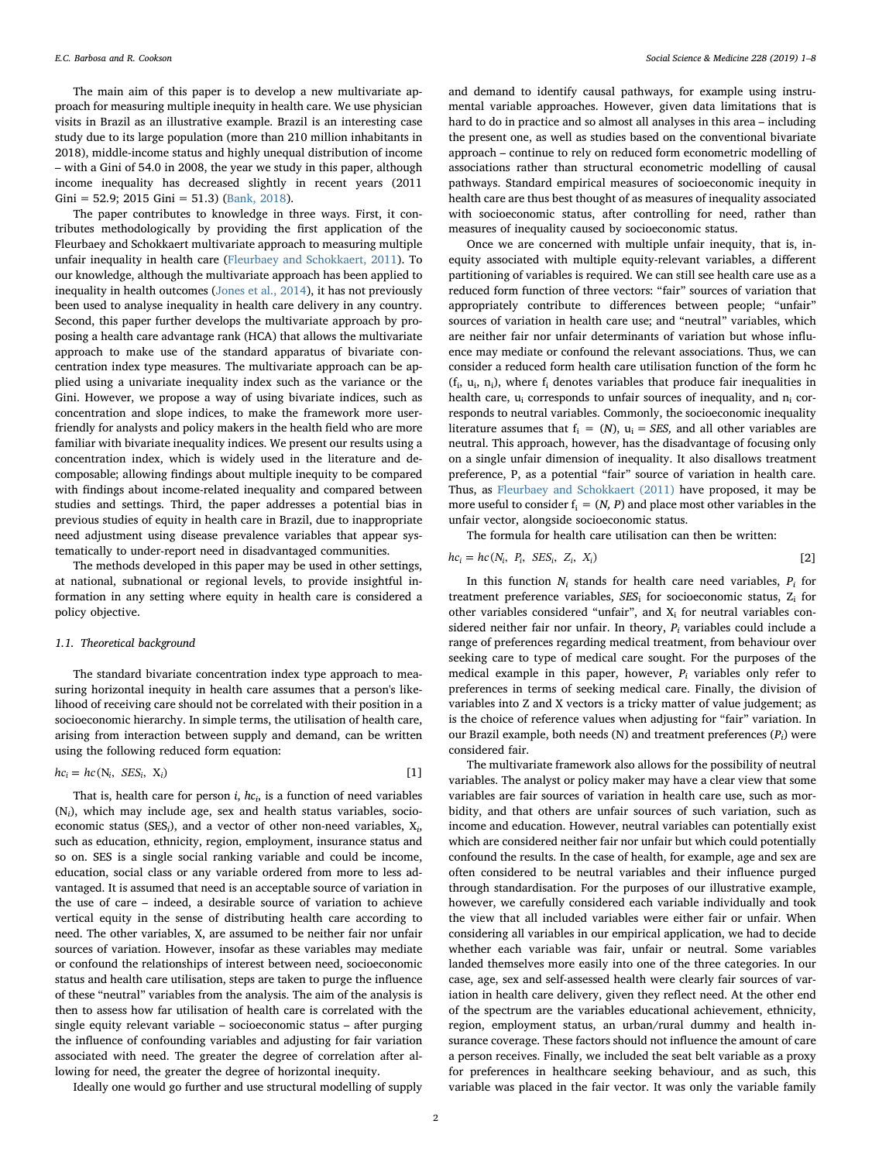The main aim of this paper is to develop a new multivariate approach for measuring multiple inequity in health care. We use physician visits in Brazil as an illustrative example. Brazil is an interesting case study due to its large population (more than 210 million inhabitants in 2018), middle-income status and highly unequal distribution of income – with a Gini of 54.0 in 2008, the year we study in this paper, although income inequality has decreased slightly in recent years (2011 Gini = 52.9; 2015 Gini = 51.3) [\(Bank, 2018\)](#page-6-3).

The paper contributes to knowledge in three ways. First, it contributes methodologically by providing the first application of the Fleurbaey and Schokkaert multivariate approach to measuring multiple unfair inequality in health care ([Fleurbaey and Schokkaert, 2011](#page-7-11)). To our knowledge, although the multivariate approach has been applied to inequality in health outcomes ([Jones et al., 2014](#page-7-14)), it has not previously been used to analyse inequality in health care delivery in any country. Second, this paper further develops the multivariate approach by proposing a health care advantage rank (HCA) that allows the multivariate approach to make use of the standard apparatus of bivariate concentration index type measures. The multivariate approach can be applied using a univariate inequality index such as the variance or the Gini. However, we propose a way of using bivariate indices, such as concentration and slope indices, to make the framework more userfriendly for analysts and policy makers in the health field who are more familiar with bivariate inequality indices. We present our results using a concentration index, which is widely used in the literature and decomposable; allowing findings about multiple inequity to be compared with findings about income-related inequality and compared between studies and settings. Third, the paper addresses a potential bias in previous studies of equity in health care in Brazil, due to inappropriate need adjustment using disease prevalence variables that appear systematically to under-report need in disadvantaged communities.

The methods developed in this paper may be used in other settings, at national, subnational or regional levels, to provide insightful information in any setting where equity in health care is considered a policy objective.

#### 1.1. Theoretical background

The standard bivariate concentration index type approach to measuring horizontal inequity in health care assumes that a person's likelihood of receiving care should not be correlated with their position in a socioeconomic hierarchy. In simple terms, the utilisation of health care, arising from interaction between supply and demand, can be written using the following reduced form equation:

$$
hc_i = hc(N_i, \, \, \text{SES}_i, \, \, X_i) \tag{1}
$$

That is, health care for person *i*,  $hc_i$ , is a function of need variables  $(N_i)$ , which may include age, sex and health status variables, socioeconomic status (SES<sub>i</sub>), and a vector of other non-need variables,  $X_i$ , such as education, ethnicity, region, employment, insurance status and so on. SES is a single social ranking variable and could be income, education, social class or any variable ordered from more to less advantaged. It is assumed that need is an acceptable source of variation in the use of care – indeed, a desirable source of variation to achieve vertical equity in the sense of distributing health care according to need. The other variables, X, are assumed to be neither fair nor unfair sources of variation. However, insofar as these variables may mediate or confound the relationships of interest between need, socioeconomic status and health care utilisation, steps are taken to purge the influence of these "neutral" variables from the analysis. The aim of the analysis is then to assess how far utilisation of health care is correlated with the single equity relevant variable – socioeconomic status – after purging the influence of confounding variables and adjusting for fair variation associated with need. The greater the degree of correlation after allowing for need, the greater the degree of horizontal inequity.

Ideally one would go further and use structural modelling of supply

and demand to identify causal pathways, for example using instrumental variable approaches. However, given data limitations that is hard to do in practice and so almost all analyses in this area – including the present one, as well as studies based on the conventional bivariate approach – continue to rely on reduced form econometric modelling of associations rather than structural econometric modelling of causal pathways. Standard empirical measures of socioeconomic inequity in health care are thus best thought of as measures of inequality associated with socioeconomic status, after controlling for need, rather than measures of inequality caused by socioeconomic status.

Once we are concerned with multiple unfair inequity, that is, inequity associated with multiple equity-relevant variables, a different partitioning of variables is required. We can still see health care use as a reduced form function of three vectors: "fair" sources of variation that appropriately contribute to differences between people; "unfair" sources of variation in health care use; and "neutral" variables, which are neither fair nor unfair determinants of variation but whose influence may mediate or confound the relevant associations. Thus, we can consider a reduced form health care utilisation function of the form hc  $(f_i, u_i, n_i)$ , where  $f_i$  denotes variables that produce fair inequalities in health care,  $u_i$  corresponds to unfair sources of inequality, and  $n_i$  corresponds to neutral variables. Commonly, the socioeconomic inequality literature assumes that  $f_i = (N)$ ,  $u_i = SES$ , and all other variables are neutral. This approach, however, has the disadvantage of focusing only on a single unfair dimension of inequality. It also disallows treatment preference, P, as a potential "fair" source of variation in health care. Thus, as [Fleurbaey and Schokkaert \(2011\)](#page-7-11) have proposed, it may be more useful to consider  $f_i = (N, P)$  and place most other variables in the unfair vector, alongside socioeconomic status.

The formula for health care utilisation can then be written:

$$
hc_i = hc(N_i, P_i, SES_i, Z_i, X_i)
$$
 [2]

In this function  $N_i$  stands for health care need variables,  $P_i$  for treatment preference variables,  $SES_i$  for socioeconomic status,  $Z_i$  for other variables considered "unfair", and  $X_i$  for neutral variables considered neither fair nor unfair. In theory,  $P_i$  variables could include a range of preferences regarding medical treatment, from behaviour over seeking care to type of medical care sought. For the purposes of the medical example in this paper, however,  $P_i$  variables only refer to preferences in terms of seeking medical care. Finally, the division of variables into Z and X vectors is a tricky matter of value judgement; as is the choice of reference values when adjusting for "fair" variation. In our Brazil example, both needs (N) and treatment preferences  $(P_i)$  were considered fair.

The multivariate framework also allows for the possibility of neutral variables. The analyst or policy maker may have a clear view that some variables are fair sources of variation in health care use, such as morbidity, and that others are unfair sources of such variation, such as income and education. However, neutral variables can potentially exist which are considered neither fair nor unfair but which could potentially confound the results. In the case of health, for example, age and sex are often considered to be neutral variables and their influence purged through standardisation. For the purposes of our illustrative example, however, we carefully considered each variable individually and took the view that all included variables were either fair or unfair. When considering all variables in our empirical application, we had to decide whether each variable was fair, unfair or neutral. Some variables landed themselves more easily into one of the three categories. In our case, age, sex and self-assessed health were clearly fair sources of variation in health care delivery, given they reflect need. At the other end of the spectrum are the variables educational achievement, ethnicity, region, employment status, an urban/rural dummy and health insurance coverage. These factors should not influence the amount of care a person receives. Finally, we included the seat belt variable as a proxy for preferences in healthcare seeking behaviour, and as such, this variable was placed in the fair vector. It was only the variable family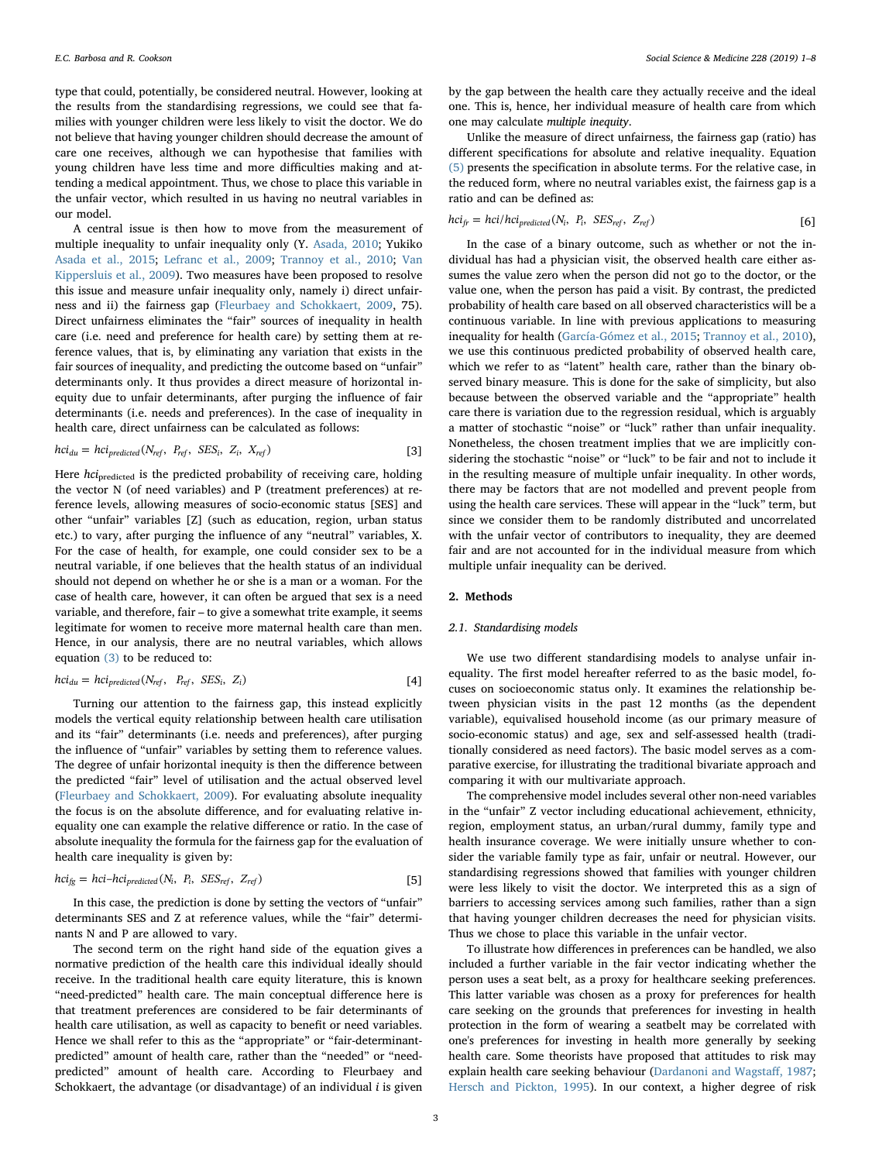type that could, potentially, be considered neutral. However, looking at the results from the standardising regressions, we could see that families with younger children were less likely to visit the doctor. We do not believe that having younger children should decrease the amount of care one receives, although we can hypothesise that families with young children have less time and more difficulties making and attending a medical appointment. Thus, we chose to place this variable in the unfair vector, which resulted in us having no neutral variables in our model.

A central issue is then how to move from the measurement of multiple inequality to unfair inequality only (Y. [Asada, 2010;](#page-6-4) Yukiko [Asada et al., 2015](#page-6-5); [Lefranc et al., 2009;](#page-7-15) [Trannoy et al., 2010;](#page-7-16) [Van](#page-7-17) [Kippersluis et al., 2009\)](#page-7-17). Two measures have been proposed to resolve this issue and measure unfair inequality only, namely i) direct unfairness and ii) the fairness gap ([Fleurbaey and Schokkaert, 2009](#page-7-18), 75). Direct unfairness eliminates the "fair" sources of inequality in health care (i.e. need and preference for health care) by setting them at reference values, that is, by eliminating any variation that exists in the fair sources of inequality, and predicting the outcome based on "unfair" determinants only. It thus provides a direct measure of horizontal inequity due to unfair determinants, after purging the influence of fair determinants (i.e. needs and preferences). In the case of inequality in health care, direct unfairness can be calculated as follows:

<span id="page-2-0"></span>
$$
hci_{du} = hci_{predicted}(N_{ref}, P_{ref}, SSES_i, Z_i, X_{ref})
$$
\n[3]

Here hci<sub>predicted</sub> is the predicted probability of receiving care, holding the vector N (of need variables) and P (treatment preferences) at reference levels, allowing measures of socio-economic status [SES] and other "unfair" variables [Z] (such as education, region, urban status etc.) to vary, after purging the influence of any "neutral" variables, X. For the case of health, for example, one could consider sex to be a neutral variable, if one believes that the health status of an individual should not depend on whether he or she is a man or a woman. For the case of health care, however, it can often be argued that sex is a need variable, and therefore, fair – to give a somewhat trite example, it seems legitimate for women to receive more maternal health care than men. Hence, in our analysis, there are no neutral variables, which allows equation [\(3\)](#page-2-0) to be reduced to:

<span id="page-2-2"></span>
$$
hci_{du} = hci_{predicted}(N_{ref}, P_{ref}, SSES_i, Z_i)
$$
 [4]

Turning our attention to the fairness gap, this instead explicitly models the vertical equity relationship between health care utilisation and its "fair" determinants (i.e. needs and preferences), after purging the influence of "unfair" variables by setting them to reference values. The degree of unfair horizontal inequity is then the difference between the predicted "fair" level of utilisation and the actual observed level ([Fleurbaey and Schokkaert, 2009](#page-7-18)). For evaluating absolute inequality the focus is on the absolute difference, and for evaluating relative inequality one can example the relative difference or ratio. In the case of absolute inequality the formula for the fairness gap for the evaluation of health care inequality is given by:

<span id="page-2-1"></span>
$$
hc i_{fg} = hci-hci_{predicted}(N_i, P_i, SES_{ref}, Z_{ref})
$$
\n[5]

In this case, the prediction is done by setting the vectors of "unfair" determinants SES and Z at reference values, while the "fair" determinants N and P are allowed to vary.

The second term on the right hand side of the equation gives a normative prediction of the health care this individual ideally should receive. In the traditional health care equity literature, this is known "need-predicted" health care. The main conceptual difference here is that treatment preferences are considered to be fair determinants of health care utilisation, as well as capacity to benefit or need variables. Hence we shall refer to this as the "appropriate" or "fair-determinantpredicted" amount of health care, rather than the "needed" or "needpredicted" amount of health care. According to Fleurbaey and Schokkaert, the advantage (or disadvantage) of an individual  $i$  is given by the gap between the health care they actually receive and the ideal one. This is, hence, her individual measure of health care from which one may calculate multiple inequity.

Unlike the measure of direct unfairness, the fairness gap (ratio) has different specifications for absolute and relative inequality. Equation [\(5\)](#page-2-1) presents the specification in absolute terms. For the relative case, in the reduced form, where no neutral variables exist, the fairness gap is a ratio and can be defined as:

$$
hci_{fr} = hci/hci_{predicted}(N_i, P_i, SES_{ref}, Z_{ref})
$$
 [6]

In the case of a binary outcome, such as whether or not the individual has had a physician visit, the observed health care either assumes the value zero when the person did not go to the doctor, or the value one, when the person has paid a visit. By contrast, the predicted probability of health care based on all observed characteristics will be a continuous variable. In line with previous applications to measuring inequality for health [\(García-Gómez et al., 2015](#page-7-19); [Trannoy et al., 2010](#page-7-16)), we use this continuous predicted probability of observed health care, which we refer to as "latent" health care, rather than the binary observed binary measure. This is done for the sake of simplicity, but also because between the observed variable and the "appropriate" health care there is variation due to the regression residual, which is arguably a matter of stochastic "noise" or "luck" rather than unfair inequality. Nonetheless, the chosen treatment implies that we are implicitly considering the stochastic "noise" or "luck" to be fair and not to include it in the resulting measure of multiple unfair inequality. In other words, there may be factors that are not modelled and prevent people from using the health care services. These will appear in the "luck" term, but since we consider them to be randomly distributed and uncorrelated with the unfair vector of contributors to inequality, they are deemed fair and are not accounted for in the individual measure from which multiple unfair inequality can be derived.

#### 2. Methods

#### 2.1. Standardising models

We use two different standardising models to analyse unfair inequality. The first model hereafter referred to as the basic model, focuses on socioeconomic status only. It examines the relationship between physician visits in the past 12 months (as the dependent variable), equivalised household income (as our primary measure of socio-economic status) and age, sex and self-assessed health (traditionally considered as need factors). The basic model serves as a comparative exercise, for illustrating the traditional bivariate approach and comparing it with our multivariate approach.

The comprehensive model includes several other non-need variables in the "unfair" Z vector including educational achievement, ethnicity, region, employment status, an urban/rural dummy, family type and health insurance coverage. We were initially unsure whether to consider the variable family type as fair, unfair or neutral. However, our standardising regressions showed that families with younger children were less likely to visit the doctor. We interpreted this as a sign of barriers to accessing services among such families, rather than a sign that having younger children decreases the need for physician visits. Thus we chose to place this variable in the unfair vector.

To illustrate how differences in preferences can be handled, we also included a further variable in the fair vector indicating whether the person uses a seat belt, as a proxy for healthcare seeking preferences. This latter variable was chosen as a proxy for preferences for health care seeking on the grounds that preferences for investing in health protection in the form of wearing a seatbelt may be correlated with one's preferences for investing in health more generally by seeking health care. Some theorists have proposed that attitudes to risk may explain health care seeking behaviour ([Dardanoni and Wagsta](#page-6-6)ff, 1987; [Hersch and Pickton, 1995\)](#page-7-20). In our context, a higher degree of risk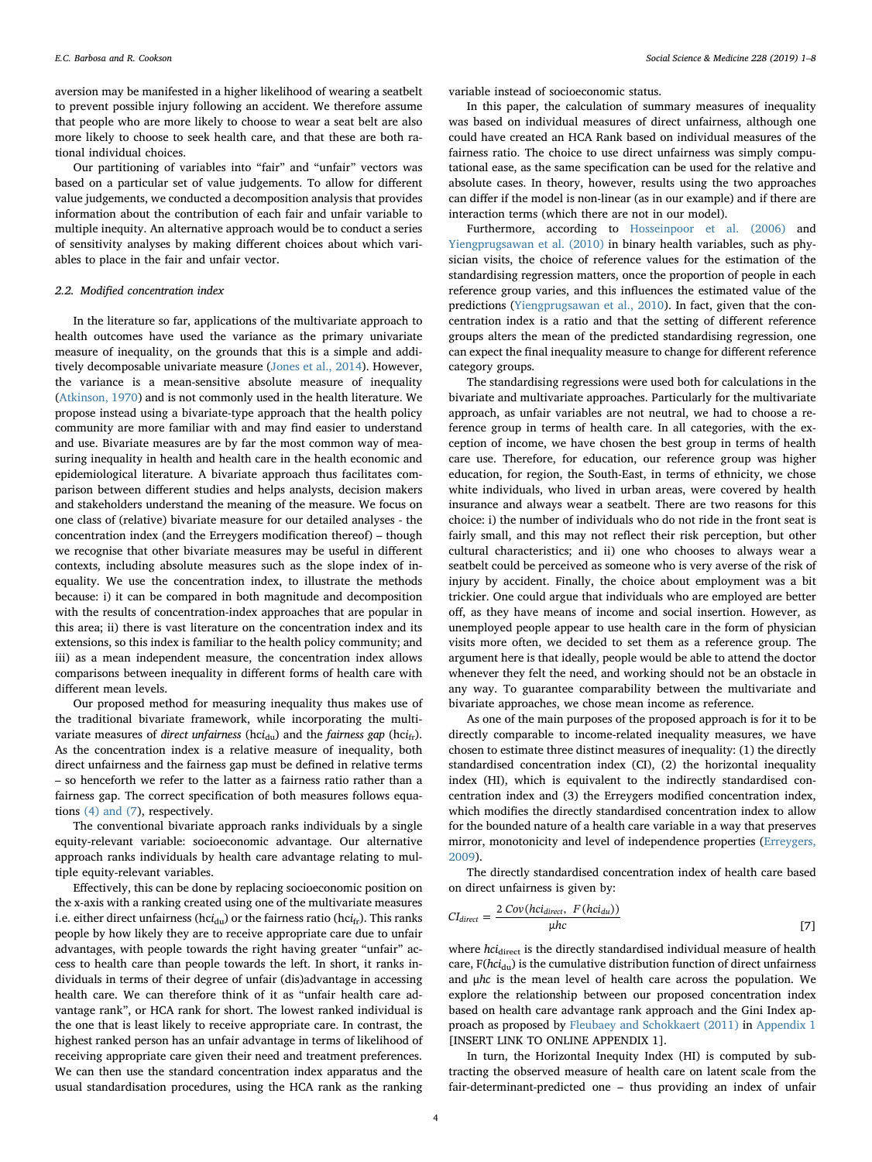E.C. Barbosa and R. Cookson *Social Science & Medicine 228 (2019) 1–8*

aversion may be manifested in a higher likelihood of wearing a seatbelt to prevent possible injury following an accident. We therefore assume that people who are more likely to choose to wear a seat belt are also more likely to choose to seek health care, and that these are both rational individual choices.

Our partitioning of variables into "fair" and "unfair" vectors was based on a particular set of value judgements. To allow for different value judgements, we conducted a decomposition analysis that provides information about the contribution of each fair and unfair variable to multiple inequity. An alternative approach would be to conduct a series of sensitivity analyses by making different choices about which variables to place in the fair and unfair vector.

#### 2.2. Modified concentration index

In the literature so far, applications of the multivariate approach to health outcomes have used the variance as the primary univariate measure of inequality, on the grounds that this is a simple and additively decomposable univariate measure [\(Jones et al., 2014](#page-7-14)). However, the variance is a mean-sensitive absolute measure of inequality ([Atkinson, 1970](#page-6-7)) and is not commonly used in the health literature. We propose instead using a bivariate-type approach that the health policy community are more familiar with and may find easier to understand and use. Bivariate measures are by far the most common way of measuring inequality in health and health care in the health economic and epidemiological literature. A bivariate approach thus facilitates comparison between different studies and helps analysts, decision makers and stakeholders understand the meaning of the measure. We focus on one class of (relative) bivariate measure for our detailed analyses - the concentration index (and the Erreygers modification thereof) – though we recognise that other bivariate measures may be useful in different contexts, including absolute measures such as the slope index of inequality. We use the concentration index, to illustrate the methods because: i) it can be compared in both magnitude and decomposition with the results of concentration-index approaches that are popular in this area; ii) there is vast literature on the concentration index and its extensions, so this index is familiar to the health policy community; and iii) as a mean independent measure, the concentration index allows comparisons between inequality in different forms of health care with different mean levels.

Our proposed method for measuring inequality thus makes use of the traditional bivariate framework, while incorporating the multivariate measures of direct unfairness (hci<sub>du</sub>) and the fairness gap (hci<sub>fr</sub>). As the concentration index is a relative measure of inequality, both direct unfairness and the fairness gap must be defined in relative terms – so henceforth we refer to the latter as a fairness ratio rather than a fairness gap. The correct specification of both measures follows equations [\(4\) and \(7\)](#page-2-2), respectively.

The conventional bivariate approach ranks individuals by a single equity-relevant variable: socioeconomic advantage. Our alternative approach ranks individuals by health care advantage relating to multiple equity-relevant variables.

Effectively, this can be done by replacing socioeconomic position on the x-axis with a ranking created using one of the multivariate measures i.e. either direct unfairness (hci<sub>du</sub>) or the fairness ratio (hci<sub>fr</sub>). This ranks people by how likely they are to receive appropriate care due to unfair advantages, with people towards the right having greater "unfair" access to health care than people towards the left. In short, it ranks individuals in terms of their degree of unfair (dis)advantage in accessing health care. We can therefore think of it as "unfair health care advantage rank", or HCA rank for short. The lowest ranked individual is the one that is least likely to receive appropriate care. In contrast, the highest ranked person has an unfair advantage in terms of likelihood of receiving appropriate care given their need and treatment preferences. We can then use the standard concentration index apparatus and the usual standardisation procedures, using the HCA rank as the ranking variable instead of socioeconomic status.

In this paper, the calculation of summary measures of inequality was based on individual measures of direct unfairness, although one could have created an HCA Rank based on individual measures of the fairness ratio. The choice to use direct unfairness was simply computational ease, as the same specification can be used for the relative and absolute cases. In theory, however, results using the two approaches can differ if the model is non-linear (as in our example) and if there are interaction terms (which there are not in our model).

Furthermore, according to [Hosseinpoor et al. \(2006\)](#page-7-21) and [Yiengprugsawan et al. \(2010\)](#page-7-22) in binary health variables, such as physician visits, the choice of reference values for the estimation of the standardising regression matters, once the proportion of people in each reference group varies, and this influences the estimated value of the predictions ([Yiengprugsawan et al., 2010\)](#page-7-22). In fact, given that the concentration index is a ratio and that the setting of different reference groups alters the mean of the predicted standardising regression, one can expect the final inequality measure to change for different reference category groups.

The standardising regressions were used both for calculations in the bivariate and multivariate approaches. Particularly for the multivariate approach, as unfair variables are not neutral, we had to choose a reference group in terms of health care. In all categories, with the exception of income, we have chosen the best group in terms of health care use. Therefore, for education, our reference group was higher education, for region, the South-East, in terms of ethnicity, we chose white individuals, who lived in urban areas, were covered by health insurance and always wear a seatbelt. There are two reasons for this choice: i) the number of individuals who do not ride in the front seat is fairly small, and this may not reflect their risk perception, but other cultural characteristics; and ii) one who chooses to always wear a seatbelt could be perceived as someone who is very averse of the risk of injury by accident. Finally, the choice about employment was a bit trickier. One could argue that individuals who are employed are better off, as they have means of income and social insertion. However, as unemployed people appear to use health care in the form of physician visits more often, we decided to set them as a reference group. The argument here is that ideally, people would be able to attend the doctor whenever they felt the need, and working should not be an obstacle in any way. To guarantee comparability between the multivariate and bivariate approaches, we chose mean income as reference.

As one of the main purposes of the proposed approach is for it to be directly comparable to income-related inequality measures, we have chosen to estimate three distinct measures of inequality: (1) the directly standardised concentration index (CI), (2) the horizontal inequality index (HI), which is equivalent to the indirectly standardised concentration index and (3) the Erreygers modified concentration index, which modifies the directly standardised concentration index to allow for the bounded nature of a health care variable in a way that preserves mirror, monotonicity and level of independence properties [\(Erreygers,](#page-7-7) [2009\)](#page-7-7).

The directly standardised concentration index of health care based on direct unfairness is given by:

$$
CI_{direct} = \frac{2 \, Cov(hc_{direct}, F(hc_{d u}))}{\mu hc}
$$
 [7]

where hci<sub>direct</sub> is the directly standardised individual measure of health care,  $F(hci_{du})$  is the cumulative distribution function of direct unfairness and μhc is the mean level of health care across the population. We explore the relationship between our proposed concentration index based on health care advantage rank approach and the Gini Index approach as proposed by [Fleubaey and Schokkaert \(2011\)](#page-7-11) in Appendix 1 [INSERT LINK TO ONLINE APPENDIX 1].

In turn, the Horizontal Inequity Index (HI) is computed by subtracting the observed measure of health care on latent scale from the fair-determinant-predicted one – thus providing an index of unfair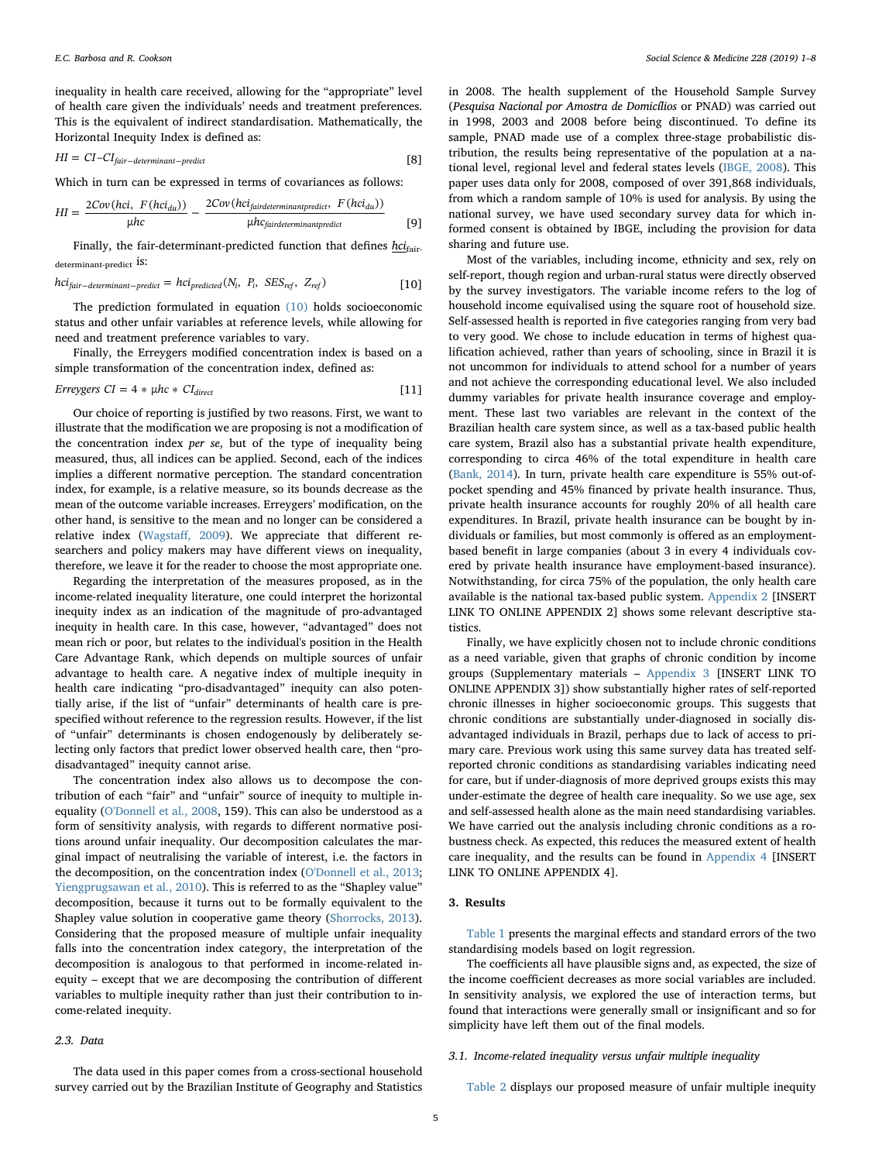inequality in health care received, allowing for the "appropriate" level of health care given the individuals' needs and treatment preferences. This is the equivalent of indirect standardisation. Mathematically, the Horizontal Inequity Index is defined as:

$$
HI = CI - CI_{fair-determinant-predict}
$$
 [8]

Which in turn can be expressed in terms of covariances as follows:

$$
HI = \frac{2Cov(hci, F(hci_{du}))}{\mu hc} - \frac{2Cov(hci_{fairdeterminantpredict}, F(hci_{du}))}{\mu hc_{fairdeterminantpredict}}
$$
 [9]

<span id="page-4-0"></span>Finally, the fair-determinant-predicted function that defines hci<sub>fair-</sub> determinant-predict <sup>is:</sup>

$$
hci_{fair-determinant-predict} = hci_{predicted}(N_i, P_i, SES_{ref}, Z_{ref})
$$
\n[10]

The prediction formulated in equation [\(10\)](#page-4-0) holds socioeconomic status and other unfair variables at reference levels, while allowing for need and treatment preference variables to vary.

Finally, the Erreygers modified concentration index is based on a simple transformation of the concentration index, defined as:

$$
Erreygers CI = 4 * \mu hc * CI_{direct}
$$
 [11]

Our choice of reporting is justified by two reasons. First, we want to illustrate that the modification we are proposing is not a modification of the concentration index per se, but of the type of inequality being measured, thus, all indices can be applied. Second, each of the indices implies a different normative perception. The standard concentration index, for example, is a relative measure, so its bounds decrease as the mean of the outcome variable increases. Erreygers' modification, on the other hand, is sensitive to the mean and no longer can be considered a relative index (Wagstaff[, 2009](#page-7-23)). We appreciate that different researchers and policy makers may have different views on inequality, therefore, we leave it for the reader to choose the most appropriate one.

Regarding the interpretation of the measures proposed, as in the income-related inequality literature, one could interpret the horizontal inequity index as an indication of the magnitude of pro-advantaged inequity in health care. In this case, however, "advantaged" does not mean rich or poor, but relates to the individual's position in the Health Care Advantage Rank, which depends on multiple sources of unfair advantage to health care. A negative index of multiple inequity in health care indicating "pro-disadvantaged" inequity can also potentially arise, if the list of "unfair" determinants of health care is prespecified without reference to the regression results. However, if the list of "unfair" determinants is chosen endogenously by deliberately selecting only factors that predict lower observed health care, then "prodisadvantaged" inequity cannot arise.

The concentration index also allows us to decompose the contribution of each "fair" and "unfair" source of inequity to multiple inequality ([O'Donnell et al., 2008,](#page-7-3) 159). This can also be understood as a form of sensitivity analysis, with regards to different normative positions around unfair inequality. Our decomposition calculates the marginal impact of neutralising the variable of interest, i.e. the factors in the decomposition, on the concentration index ([O'Donnell et al., 2013](#page-7-24); [Yiengprugsawan et al., 2010\)](#page-7-22). This is referred to as the "Shapley value" decomposition, because it turns out to be formally equivalent to the Shapley value solution in cooperative game theory ([Shorrocks, 2013](#page-7-25)). Considering that the proposed measure of multiple unfair inequality falls into the concentration index category, the interpretation of the decomposition is analogous to that performed in income-related inequity – except that we are decomposing the contribution of different variables to multiple inequity rather than just their contribution to income-related inequity.

#### 2.3. Data

The data used in this paper comes from a cross-sectional household survey carried out by the Brazilian Institute of Geography and Statistics

in 2008. The health supplement of the Household Sample Survey (Pesquisa Nacional por Amostra de Domicílios or PNAD) was carried out in 1998, 2003 and 2008 before being discontinued. To define its sample, PNAD made use of a complex three-stage probabilistic distribution, the results being representative of the population at a national level, regional level and federal states levels [\(IBGE, 2008\)](#page-7-26). This paper uses data only for 2008, composed of over 391,868 individuals, from which a random sample of 10% is used for analysis. By using the national survey, we have used secondary survey data for which informed consent is obtained by IBGE, including the provision for data sharing and future use.

Most of the variables, including income, ethnicity and sex, rely on self-report, though region and urban-rural status were directly observed by the survey investigators. The variable income refers to the log of household income equivalised using the square root of household size. Self-assessed health is reported in five categories ranging from very bad to very good. We chose to include education in terms of highest qualification achieved, rather than years of schooling, since in Brazil it is not uncommon for individuals to attend school for a number of years and not achieve the corresponding educational level. We also included dummy variables for private health insurance coverage and employment. These last two variables are relevant in the context of the Brazilian health care system since, as well as a tax-based public health care system, Brazil also has a substantial private health expenditure, corresponding to circa 46% of the total expenditure in health care ([Bank, 2014\)](#page-6-8). In turn, private health care expenditure is 55% out-ofpocket spending and 45% financed by private health insurance. Thus, private health insurance accounts for roughly 20% of all health care expenditures. In Brazil, private health insurance can be bought by individuals or families, but most commonly is offered as an employmentbased benefit in large companies (about 3 in every 4 individuals covered by private health insurance have employment-based insurance). Notwithstanding, for circa 75% of the population, the only health care available is the national tax-based public system. Appendix 2 [INSERT LINK TO ONLINE APPENDIX 2] shows some relevant descriptive statistics.

Finally, we have explicitly chosen not to include chronic conditions as a need variable, given that graphs of chronic condition by income groups (Supplementary materials – Appendix 3 [INSERT LINK TO ONLINE APPENDIX 3]) show substantially higher rates of self-reported chronic illnesses in higher socioeconomic groups. This suggests that chronic conditions are substantially under-diagnosed in socially disadvantaged individuals in Brazil, perhaps due to lack of access to primary care. Previous work using this same survey data has treated selfreported chronic conditions as standardising variables indicating need for care, but if under-diagnosis of more deprived groups exists this may under-estimate the degree of health care inequality. So we use age, sex and self-assessed health alone as the main need standardising variables. We have carried out the analysis including chronic conditions as a robustness check. As expected, this reduces the measured extent of health care inequality, and the results can be found in Appendix 4 [INSERT LINK TO ONLINE APPENDIX 4].

#### 3. Results

[Table 1](#page-5-0) presents the marginal effects and standard errors of the two standardising models based on logit regression.

The coefficients all have plausible signs and, as expected, the size of the income coefficient decreases as more social variables are included. In sensitivity analysis, we explored the use of interaction terms, but found that interactions were generally small or insignificant and so for simplicity have left them out of the final models.

#### 3.1. Income-related inequality versus unfair multiple inequality

[Table 2](#page-5-1) displays our proposed measure of unfair multiple inequity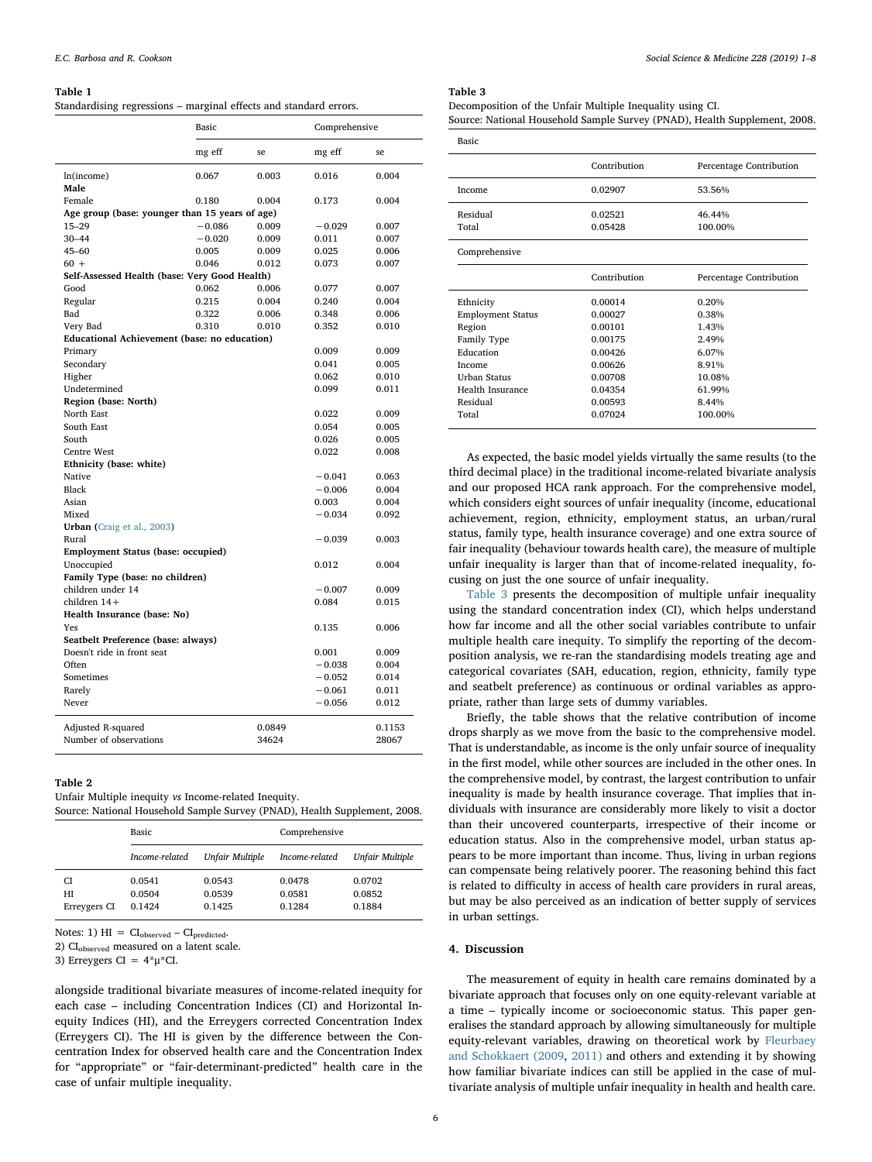#### <span id="page-5-0"></span>Table 1

Standardising regressions – marginal effects and standard errors.

|                                                | Basic    |        | Comprehensive |        |
|------------------------------------------------|----------|--------|---------------|--------|
|                                                | mg eff   | se.    | mg eff        | se     |
| ln(income)                                     | 0.067    | 0.003  | 0.016         | 0.004  |
| Male                                           |          |        |               |        |
| Female                                         | 0.180    | 0.004  | 0.173         | 0.004  |
| Age group (base: younger than 15 years of age) |          |        |               |        |
| $15 - 29$                                      | $-0.086$ | 0.009  | $-0.029$      | 0.007  |
| $30 - 44$                                      | $-0.020$ | 0.009  | 0.011         | 0.007  |
| $45 - 60$                                      | 0.005    | 0.009  | 0.025         | 0.006  |
| $60 +$                                         | 0.046    | 0.012  | 0.073         | 0.007  |
| Self-Assessed Health (base: Very Good Health)  |          |        |               |        |
| Good                                           | 0.062    | 0.006  | 0.077         | 0.007  |
| Regular                                        | 0.215    | 0.004  | 0.240         | 0.004  |
| Bad                                            | 0.322    | 0.006  | 0.348         | 0.006  |
| Very Bad                                       | 0.310    | 0.010  | 0.352         | 0.010  |
| Educational Achievement (base: no education)   |          |        |               |        |
| Primary                                        |          |        | 0.009         | 0.009  |
| Secondary                                      |          |        | 0.041         | 0.005  |
| Higher                                         |          |        | 0.062         | 0.010  |
| Undetermined                                   |          |        | 0.099         | 0.011  |
| Region (base: North)                           |          |        |               |        |
| North East                                     |          |        | 0.022         | 0.009  |
| South East                                     |          |        | 0.054         | 0.005  |
| South                                          |          |        | 0.026         | 0.005  |
| Centre West                                    |          |        | 0.022         | 0.008  |
| Ethnicity (base: white)                        |          |        |               |        |
| Native                                         |          |        | $-0.041$      | 0.063  |
| Black                                          |          |        | $-0.006$      | 0.004  |
| Asian                                          |          |        | 0.003         | 0.004  |
| Mixed                                          |          |        | $-0.034$      | 0.092  |
| Urban (Craig et al., 2003)                     |          |        |               |        |
| Rural                                          |          |        | $-0.039$      | 0.003  |
| <b>Employment Status (base: occupied)</b>      |          |        |               |        |
| Unoccupied                                     |          |        | 0.012         | 0.004  |
| Family Type (base: no children)                |          |        |               |        |
| children under 14                              |          |        | $-0.007$      | 0.009  |
| children $14+$                                 |          |        | 0.084         | 0.015  |
| Health Insurance (base: No)                    |          |        |               |        |
| Yes                                            |          |        | 0.135         | 0.006  |
| Seatbelt Preference (base: always)             |          |        |               |        |
| Doesn't ride in front seat                     |          |        | 0.001         | 0.009  |
| Often                                          |          |        | $-0.038$      | 0.004  |
| Sometimes                                      |          |        | $-0.052$      | 0.014  |
| Rarely                                         |          |        | $-0.061$      | 0.011  |
| Never                                          |          |        | $-0.056$      | 0.012  |
| Adjusted R-squared                             |          | 0.0849 |               | 0.1153 |
| Number of observations                         |          | 34624  |               | 28067  |
|                                                |          |        |               |        |

### <span id="page-5-1"></span>Table 2

Unfair Multiple inequity vs Income-related Inequity. Source: National Household Sample Survey (PNAD), Health Supplement, 2008.

|                          | Basic                      |                            | Comprehensive              |                            |
|--------------------------|----------------------------|----------------------------|----------------------------|----------------------------|
|                          | Income-related             | Unfair Multiple            | Income-related             | Unfair Multiple            |
| CI<br>HI<br>Erreygers CI | 0.0541<br>0.0504<br>0.1424 | 0.0543<br>0.0539<br>0.1425 | 0.0478<br>0.0581<br>0.1284 | 0.0702<br>0.0852<br>0.1884 |

Notes: 1)  $HI = CI_{observed} - CI_{predicted}.$ 

2) CI<sub>observed</sub> measured on a latent scale.

3) Erreygers CI =  $4*\mu*CI$ .

alongside traditional bivariate measures of income-related inequity for each case – including Concentration Indices (CI) and Horizontal Inequity Indices (HI), and the Erreygers corrected Concentration Index (Erreygers CI). The HI is given by the difference between the Concentration Index for observed health care and the Concentration Index for "appropriate" or "fair-determinant-predicted" health care in the case of unfair multiple inequality.

<span id="page-5-2"></span>Table 3

Decomposition of the Unfair Multiple Inequality using CI. Source: National Household Sample Survey (PNAD), Health Supplement, 2008.

| Basic                    |              |                         |  |
|--------------------------|--------------|-------------------------|--|
|                          | Contribution | Percentage Contribution |  |
| Income                   | 0.02907      | 53.56%                  |  |
| Residual                 | 0.02521      | 46.44%                  |  |
| Total                    | 0.05428      | 100.00%                 |  |
| Comprehensive            |              |                         |  |
|                          | Contribution | Percentage Contribution |  |
|                          |              |                         |  |
| Ethnicity                | 0.00014      | 0.20%                   |  |
| <b>Employment Status</b> | 0.00027      | 0.38%                   |  |
| Region                   | 0.00101      | 1.43%                   |  |
| Family Type              | 0.00175      | 2.49%                   |  |
| Education                | 0.00426      | 6.07%                   |  |
| Income                   | 0.00626      | 8.91%                   |  |
| Urban Status             | 0.00708      | 10.08%                  |  |
| Health Insurance         | 0.04354      | 61.99%                  |  |
| Residual                 | 0.00593      | 8.44%                   |  |
| Total                    | 0.07024      | 100.00%                 |  |

As expected, the basic model yields virtually the same results (to the third decimal place) in the traditional income-related bivariate analysis and our proposed HCA rank approach. For the comprehensive model, which considers eight sources of unfair inequality (income, educational achievement, region, ethnicity, employment status, an urban/rural status, family type, health insurance coverage) and one extra source of fair inequality (behaviour towards health care), the measure of multiple unfair inequality is larger than that of income-related inequality, focusing on just the one source of unfair inequality.

[Table 3](#page-5-2) presents the decomposition of multiple unfair inequality using the standard concentration index (CI), which helps understand how far income and all the other social variables contribute to unfair multiple health care inequity. To simplify the reporting of the decomposition analysis, we re-ran the standardising models treating age and categorical covariates (SAH, education, region, ethnicity, family type and seatbelt preference) as continuous or ordinal variables as appropriate, rather than large sets of dummy variables.

Briefly, the table shows that the relative contribution of income drops sharply as we move from the basic to the comprehensive model. That is understandable, as income is the only unfair source of inequality in the first model, while other sources are included in the other ones. In the comprehensive model, by contrast, the largest contribution to unfair inequality is made by health insurance coverage. That implies that individuals with insurance are considerably more likely to visit a doctor than their uncovered counterparts, irrespective of their income or education status. Also in the comprehensive model, urban status appears to be more important than income. Thus, living in urban regions can compensate being relatively poorer. The reasoning behind this fact is related to difficulty in access of health care providers in rural areas, but may be also perceived as an indication of better supply of services in urban settings.

#### 4. Discussion

The measurement of equity in health care remains dominated by a bivariate approach that focuses only on one equity-relevant variable at a time – typically income or socioeconomic status. This paper generalises the standard approach by allowing simultaneously for multiple equity-relevant variables, drawing on theoretical work by [Fleurbaey](#page-7-18) [and Schokkaert \(2009](#page-7-18), [2011\)](#page-7-11) and others and extending it by showing how familiar bivariate indices can still be applied in the case of multivariate analysis of multiple unfair inequality in health and health care.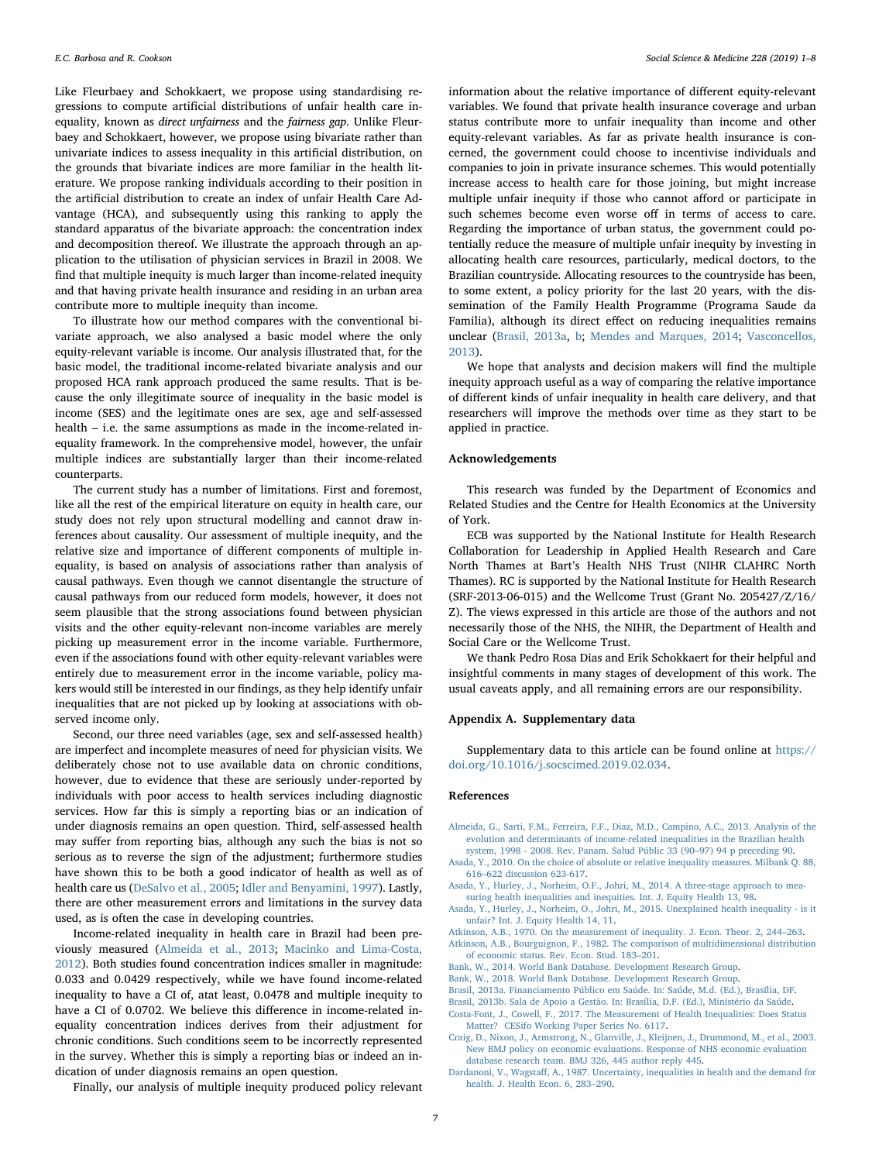Like Fleurbaey and Schokkaert, we propose using standardising regressions to compute artificial distributions of unfair health care inequality, known as direct unfairness and the fairness gap. Unlike Fleurbaey and Schokkaert, however, we propose using bivariate rather than univariate indices to assess inequality in this artificial distribution, on the grounds that bivariate indices are more familiar in the health literature. We propose ranking individuals according to their position in the artificial distribution to create an index of unfair Health Care Advantage (HCA), and subsequently using this ranking to apply the standard apparatus of the bivariate approach: the concentration index and decomposition thereof. We illustrate the approach through an application to the utilisation of physician services in Brazil in 2008. We find that multiple inequity is much larger than income-related inequity and that having private health insurance and residing in an urban area contribute more to multiple inequity than income.

To illustrate how our method compares with the conventional bivariate approach, we also analysed a basic model where the only equity-relevant variable is income. Our analysis illustrated that, for the basic model, the traditional income-related bivariate analysis and our proposed HCA rank approach produced the same results. That is because the only illegitimate source of inequality in the basic model is income (SES) and the legitimate ones are sex, age and self-assessed health – i.e. the same assumptions as made in the income-related inequality framework. In the comprehensive model, however, the unfair multiple indices are substantially larger than their income-related counterparts.

The current study has a number of limitations. First and foremost, like all the rest of the empirical literature on equity in health care, our study does not rely upon structural modelling and cannot draw inferences about causality. Our assessment of multiple inequity, and the relative size and importance of different components of multiple inequality, is based on analysis of associations rather than analysis of causal pathways. Even though we cannot disentangle the structure of causal pathways from our reduced form models, however, it does not seem plausible that the strong associations found between physician visits and the other equity-relevant non-income variables are merely picking up measurement error in the income variable. Furthermore, even if the associations found with other equity-relevant variables were entirely due to measurement error in the income variable, policy makers would still be interested in our findings, as they help identify unfair inequalities that are not picked up by looking at associations with observed income only.

Second, our three need variables (age, sex and self-assessed health) are imperfect and incomplete measures of need for physician visits. We deliberately chose not to use available data on chronic conditions, however, due to evidence that these are seriously under-reported by individuals with poor access to health services including diagnostic services. How far this is simply a reporting bias or an indication of under diagnosis remains an open question. Third, self-assessed health may suffer from reporting bias, although any such the bias is not so serious as to reverse the sign of the adjustment; furthermore studies have shown this to be both a good indicator of health as well as of health care us [\(DeSalvo et al., 2005](#page-7-27); [Idler and Benyamini, 1997\)](#page-7-28). Lastly, there are other measurement errors and limitations in the survey data used, as is often the case in developing countries.

Income-related inequality in health care in Brazil had been previously measured [\(Almeida et al., 2013;](#page-6-10) [Macinko and Lima-Costa,](#page-7-29) [2012\)](#page-7-29). Both studies found concentration indices smaller in magnitude: 0.033 and 0.0429 respectively, while we have found income-related inequality to have a CI of, atat least, 0.0478 and multiple inequity to have a CI of 0.0702. We believe this difference in income-related inequality concentration indices derives from their adjustment for chronic conditions. Such conditions seem to be incorrectly represented in the survey. Whether this is simply a reporting bias or indeed an indication of under diagnosis remains an open question.

Finally, our analysis of multiple inequity produced policy relevant

information about the relative importance of different equity-relevant variables. We found that private health insurance coverage and urban status contribute more to unfair inequality than income and other equity-relevant variables. As far as private health insurance is concerned, the government could choose to incentivise individuals and companies to join in private insurance schemes. This would potentially increase access to health care for those joining, but might increase multiple unfair inequity if those who cannot afford or participate in such schemes become even worse off in terms of access to care. Regarding the importance of urban status, the government could potentially reduce the measure of multiple unfair inequity by investing in allocating health care resources, particularly, medical doctors, to the Brazilian countryside. Allocating resources to the countryside has been, to some extent, a policy priority for the last 20 years, with the dissemination of the Family Health Programme (Programa Saude da Familia), although its direct effect on reducing inequalities remains unclear [\(Brasil, 2013a](#page-6-11), [b;](#page-6-12) [Mendes and Marques, 2014;](#page-7-30) [Vasconcellos,](#page-7-31) [2013\)](#page-7-31).

We hope that analysts and decision makers will find the multiple inequity approach useful as a way of comparing the relative importance of different kinds of unfair inequality in health care delivery, and that researchers will improve the methods over time as they start to be applied in practice.

#### Acknowledgements

This research was funded by the Department of Economics and Related Studies and the Centre for Health Economics at the University of York.

ECB was supported by the National Institute for Health Research Collaboration for Leadership in Applied Health Research and Care North Thames at Bart's Health NHS Trust (NIHR CLAHRC North Thames). RC is supported by the National Institute for Health Research (SRF-2013-06-015) and the Wellcome Trust (Grant No. 205427/Z/16/ Z). The views expressed in this article are those of the authors and not necessarily those of the NHS, the NIHR, the Department of Health and Social Care or the Wellcome Trust.

We thank Pedro Rosa Dias and Erik Schokkaert for their helpful and insightful comments in many stages of development of this work. The usual caveats apply, and all remaining errors are our responsibility.

#### Appendix A. Supplementary data

Supplementary data to this article can be found online at [https://](https://doi.org/10.1016/j.socscimed.2019.02.034) [doi.org/10.1016/j.socscimed.2019.02.034](https://doi.org/10.1016/j.socscimed.2019.02.034).

#### References

- <span id="page-6-10"></span>[Almeida, G., Sarti, F.M., Ferreira, F.F., Diaz, M.D., Campino, A.C., 2013. Analysis of the](http://refhub.elsevier.com/S0277-9536(19)30101-7/sref1) [evolution and determinants of income-related inequalities in the Brazilian health](http://refhub.elsevier.com/S0277-9536(19)30101-7/sref1) [system, 1998 - 2008. Rev. Panam. Salud Públic 33 \(90](http://refhub.elsevier.com/S0277-9536(19)30101-7/sref1)–97) 94 p preceding 90.
- <span id="page-6-4"></span>[Asada, Y., 2010. On the choice of absolute or relative inequality measures. Milbank Q. 88,](http://refhub.elsevier.com/S0277-9536(19)30101-7/sref2) 616–[622 discussion 623-617.](http://refhub.elsevier.com/S0277-9536(19)30101-7/sref2)
- <span id="page-6-1"></span>[Asada, Y., Hurley, J., Norheim, O.F., Johri, M., 2014. A three-stage approach to mea](http://refhub.elsevier.com/S0277-9536(19)30101-7/sref3)[suring health inequalities and inequities. Int. J. Equity Health 13, 98](http://refhub.elsevier.com/S0277-9536(19)30101-7/sref3).
- <span id="page-6-5"></span>[Asada, Y., Hurley, J., Norheim, O., Johri, M., 2015. Unexplained health inequality - is it](http://refhub.elsevier.com/S0277-9536(19)30101-7/sref4) [unfair? Int. J. Equity Health 14, 11](http://refhub.elsevier.com/S0277-9536(19)30101-7/sref4).
- <span id="page-6-7"></span><span id="page-6-2"></span>[Atkinson, A.B., 1970. On the measurement of inequality. J. Econ. Theor. 2, 244](http://refhub.elsevier.com/S0277-9536(19)30101-7/sref5)–263. [Atkinson, A.B., Bourguignon, F., 1982. The comparison of multidimensional distribution](http://refhub.elsevier.com/S0277-9536(19)30101-7/sref6)
- [of economic status. Rev. Econ. Stud. 183](http://refhub.elsevier.com/S0277-9536(19)30101-7/sref6)–201.
- <span id="page-6-8"></span>[Bank, W., 2014. World Bank Database. Development Research Group](http://refhub.elsevier.com/S0277-9536(19)30101-7/sref7).
- <span id="page-6-3"></span>[Bank, W., 2018. World Bank Database. Development Research Group](http://refhub.elsevier.com/S0277-9536(19)30101-7/sref8).
- <span id="page-6-11"></span>[Brasil, 2013a. Financiamento Público em Saúde. In: Saúde, M.d. \(Ed.\), Brasília, DF.](http://refhub.elsevier.com/S0277-9536(19)30101-7/sref9)
- <span id="page-6-12"></span>[Brasil, 2013b. Sala de Apoio a Gestão. In: Brasília, D.F. \(Ed.\), Ministério da Saúde.](http://refhub.elsevier.com/S0277-9536(19)30101-7/sref10)
- <span id="page-6-0"></span>[Costa-Font, J., Cowell, F., 2017. The Measurement of Health Inequalities: Does Status](http://refhub.elsevier.com/S0277-9536(19)30101-7/sref11) [Matter? CESifo Working Paper Series No. 6117.](http://refhub.elsevier.com/S0277-9536(19)30101-7/sref11)
- <span id="page-6-9"></span>[Craig, D., Nixon, J., Armstrong, N., Glanville, J., Kleijnen, J., Drummond, M., et al., 2003.](http://refhub.elsevier.com/S0277-9536(19)30101-7/sref12) [New BMJ policy on economic evaluations. Response of NHS economic evaluation](http://refhub.elsevier.com/S0277-9536(19)30101-7/sref12) [database research team. BMJ 326, 445 author reply 445](http://refhub.elsevier.com/S0277-9536(19)30101-7/sref12).
- <span id="page-6-6"></span>Dardanoni, V., Wagstaff[, A., 1987. Uncertainty, inequalities in health and the demand for](http://refhub.elsevier.com/S0277-9536(19)30101-7/sref13) [health. J. Health Econ. 6, 283](http://refhub.elsevier.com/S0277-9536(19)30101-7/sref13)–290.